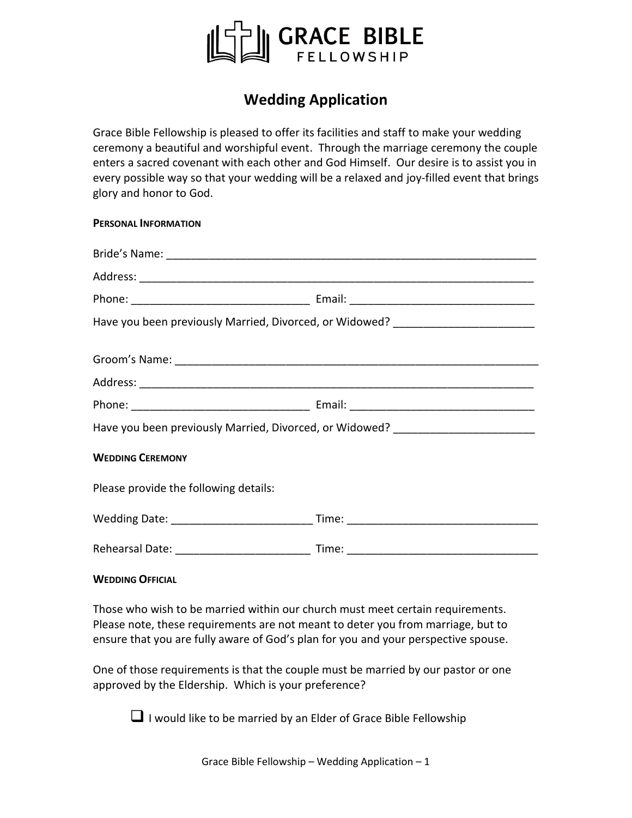

# **Wedding Application**

Grace Bible Fellowship is pleased to offer its facilities and staff to make your wedding ceremony a beautiful and worshipful event. Through the marriage ceremony the couple enters a sacred covenant with each other and God Himself. Our desire is to assist you in every possible way so that your wedding will be a relaxed and joy-filled event that brings glory and honor to God.

### **PERSONAL INFORMATION**

| Have you been previously Married, Divorced, or Widowed? ________________________ |  |  |
|----------------------------------------------------------------------------------|--|--|
|                                                                                  |  |  |
|                                                                                  |  |  |
| Have you been previously Married, Divorced, or Widowed? ________________________ |  |  |
| <b>WEDDING CEREMONY</b>                                                          |  |  |
| Please provide the following details:                                            |  |  |
|                                                                                  |  |  |
|                                                                                  |  |  |

#### **WEDDING OFFICIAL**

Those who wish to be married within our church must meet certain requirements. Please note, these requirements are not meant to deter you from marriage, but to ensure that you are fully aware of God's plan for you and your perspective spouse.

One of those requirements is that the couple must be married by our pastor or one approved by the Eldership. Which is your preference?

■ I would like to be married by an Elder of Grace Bible Fellowship

Grace Bible Fellowship – Wedding Application –  $1$